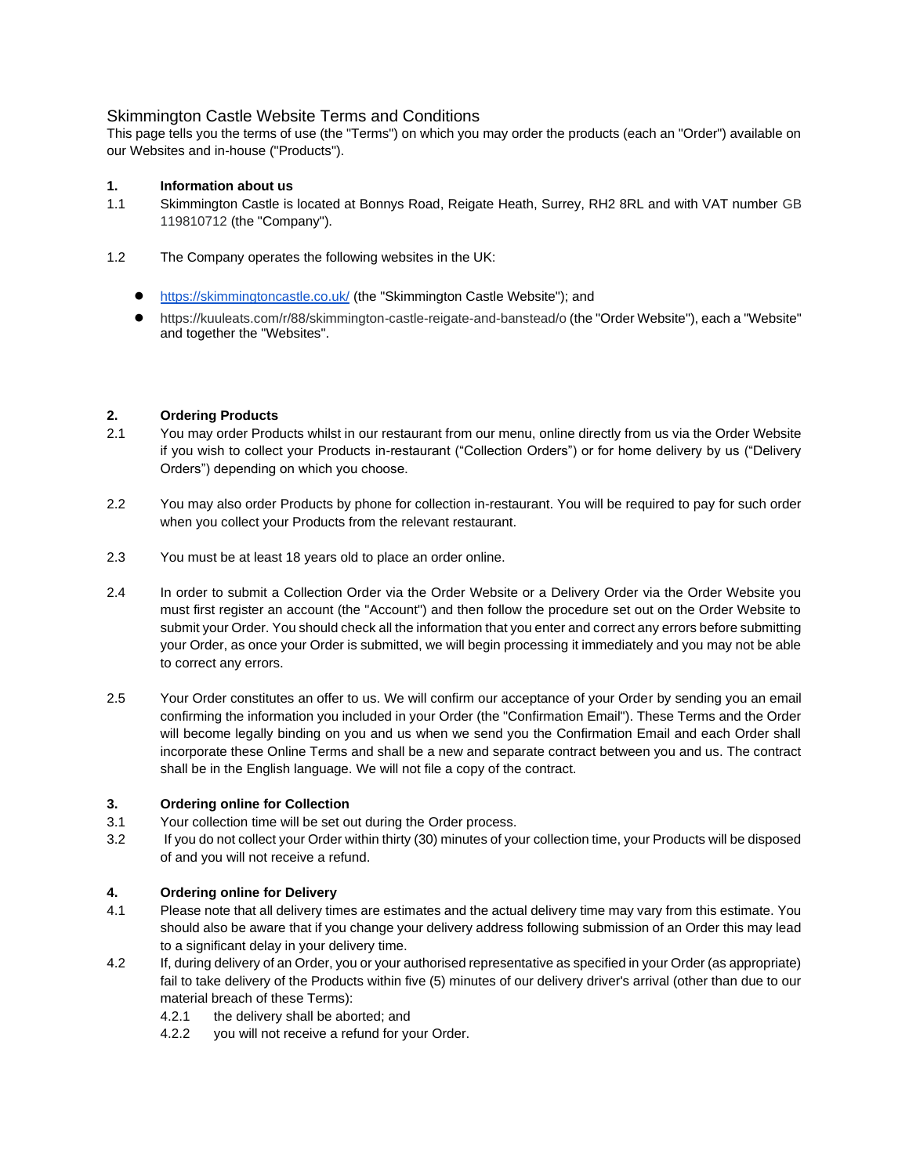# Skimmington Castle Website Terms and Conditions

This page tells you the terms of use (the "Terms") on which you may order the products (each an "Order") available on our Websites and in-house ("Products").

## **1. Information about us**

- 1.1 Skimmington Castle is located at Bonnys Road, Reigate Heath, Surrey, RH2 8RL and with VAT number GB 119810712 (the "Company").
- 1.2 The Company operates the following websites in the UK:
	- <https://skimmingtoncastle.co.uk/> (the "Skimmington Castle Website"); and
	- https://kuuleats.com/r/88/skimmington-castle-reigate-and-banstead/o (the "Order Website"), each a "Website" and together the "Websites".

### **2. Ordering Products**

- 2.1 You may order Products whilst in our restaurant from our menu, online directly from us via the Order Website if you wish to collect your Products in-restaurant ("Collection Orders") or for home delivery by us ("Delivery Orders") depending on which you choose.
- 2.2 You may also order Products by phone for collection in-restaurant. You will be required to pay for such order when you collect your Products from the relevant restaurant.
- 2.3 You must be at least 18 years old to place an order online.
- 2.4 In order to submit a Collection Order via the Order Website or a Delivery Order via the Order Website you must first register an account (the "Account") and then follow the procedure set out on the Order Website to submit your Order. You should check all the information that you enter and correct any errors before submitting your Order, as once your Order is submitted, we will begin processing it immediately and you may not be able to correct any errors.
- 2.5 Your Order constitutes an offer to us. We will confirm our acceptance of your Order by sending you an email confirming the information you included in your Order (the "Confirmation Email"). These Terms and the Order will become legally binding on you and us when we send you the Confirmation Email and each Order shall incorporate these Online Terms and shall be a new and separate contract between you and us. The contract shall be in the English language. We will not file a copy of the contract.

## **3. Ordering online for Collection**

- 3.1 Your collection time will be set out during the Order process.
- 3.2 If you do not collect your Order within thirty (30) minutes of your collection time, your Products will be disposed of and you will not receive a refund.

## **4. Ordering online for Delivery**

- 4.1 Please note that all delivery times are estimates and the actual delivery time may vary from this estimate. You should also be aware that if you change your delivery address following submission of an Order this may lead to a significant delay in your delivery time.
- 4.2 If, during delivery of an Order, you or your authorised representative as specified in your Order (as appropriate) fail to take delivery of the Products within five (5) minutes of our delivery driver's arrival (other than due to our material breach of these Terms):
	- 4.2.1 the delivery shall be aborted; and
	- 4.2.2 you will not receive a refund for your Order.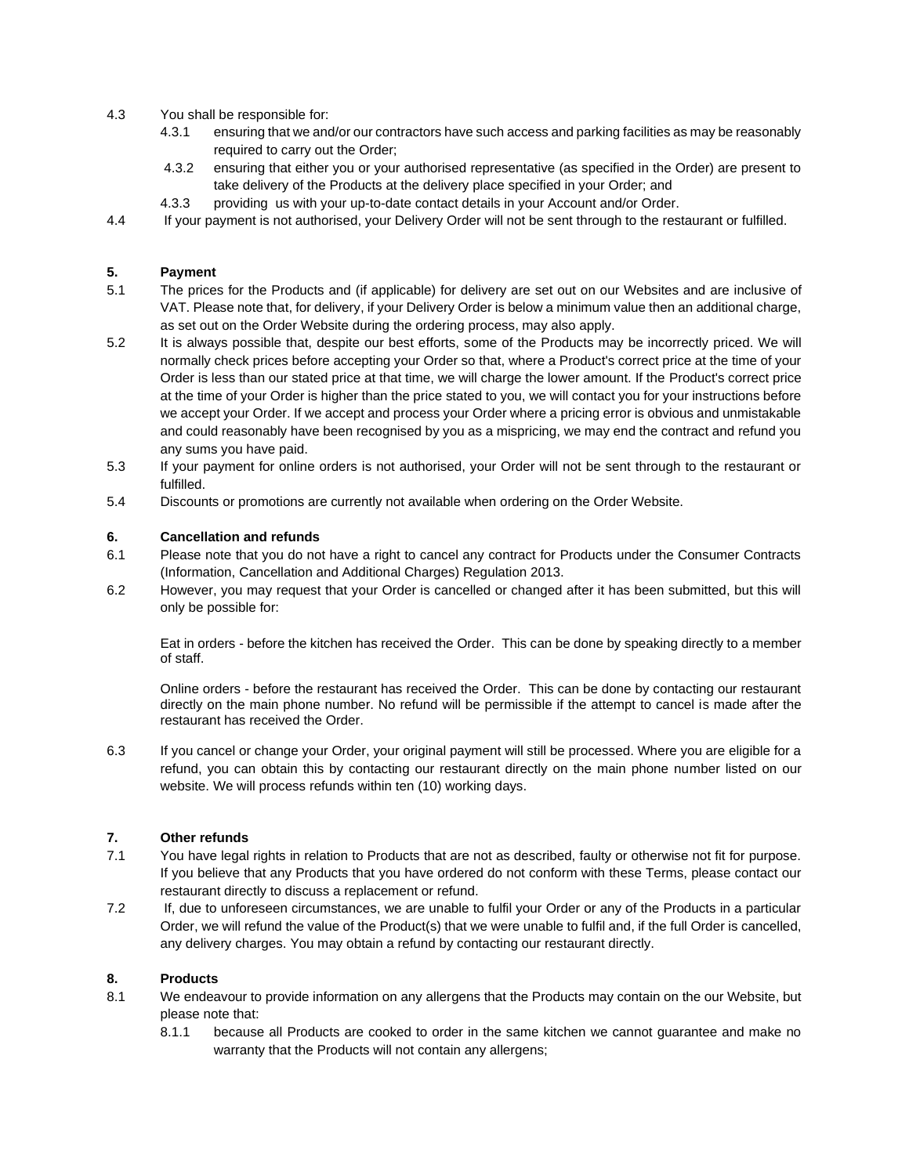- 4.3 You shall be responsible for:
	- 4.3.1 ensuring that we and/or our contractors have such access and parking facilities as may be reasonably required to carry out the Order;
	- 4.3.2 ensuring that either you or your authorised representative (as specified in the Order) are present to take delivery of the Products at the delivery place specified in your Order; and
	- 4.3.3 providing us with your up-to-date contact details in your Account and/or Order.
- 4.4 If your payment is not authorised, your Delivery Order will not be sent through to the restaurant or fulfilled.

### **5. Payment**

- 5.1 The prices for the Products and (if applicable) for delivery are set out on our Websites and are inclusive of VAT. Please note that, for delivery, if your Delivery Order is below a minimum value then an additional charge, as set out on the Order Website during the ordering process, may also apply.
- 5.2 It is always possible that, despite our best efforts, some of the Products may be incorrectly priced. We will normally check prices before accepting your Order so that, where a Product's correct price at the time of your Order is less than our stated price at that time, we will charge the lower amount. If the Product's correct price at the time of your Order is higher than the price stated to you, we will contact you for your instructions before we accept your Order. If we accept and process your Order where a pricing error is obvious and unmistakable and could reasonably have been recognised by you as a mispricing, we may end the contract and refund you any sums you have paid.
- 5.3 If your payment for online orders is not authorised, your Order will not be sent through to the restaurant or fulfilled.
- 5.4 Discounts or promotions are currently not available when ordering on the Order Website.

### **6. Cancellation and refunds**

- 6.1 Please note that you do not have a right to cancel any contract for Products under the Consumer Contracts (Information, Cancellation and Additional Charges) Regulation 2013.
- 6.2 However, you may request that your Order is cancelled or changed after it has been submitted, but this will only be possible for:

Eat in orders - before the kitchen has received the Order. This can be done by speaking directly to a member of staff.

Online orders - before the restaurant has received the Order. This can be done by contacting our restaurant directly on the main phone number. No refund will be permissible if the attempt to cancel is made after the restaurant has received the Order.

6.3 If you cancel or change your Order, your original payment will still be processed. Where you are eligible for a refund, you can obtain this by contacting our restaurant directly on the main phone number listed on our website. We will process refunds within ten (10) working days.

#### **7. Other refunds**

- 7.1 You have legal rights in relation to Products that are not as described, faulty or otherwise not fit for purpose. If you believe that any Products that you have ordered do not conform with these Terms, please contact our restaurant directly to discuss a replacement or refund.
- 7.2 If, due to unforeseen circumstances, we are unable to fulfil your Order or any of the Products in a particular Order, we will refund the value of the Product(s) that we were unable to fulfil and, if the full Order is cancelled, any delivery charges. You may obtain a refund by contacting our restaurant directly.

### **8. Products**

- 8.1 We endeavour to provide information on any allergens that the Products may contain on the our Website, but please note that:
	- 8.1.1 because all Products are cooked to order in the same kitchen we cannot guarantee and make no warranty that the Products will not contain any allergens;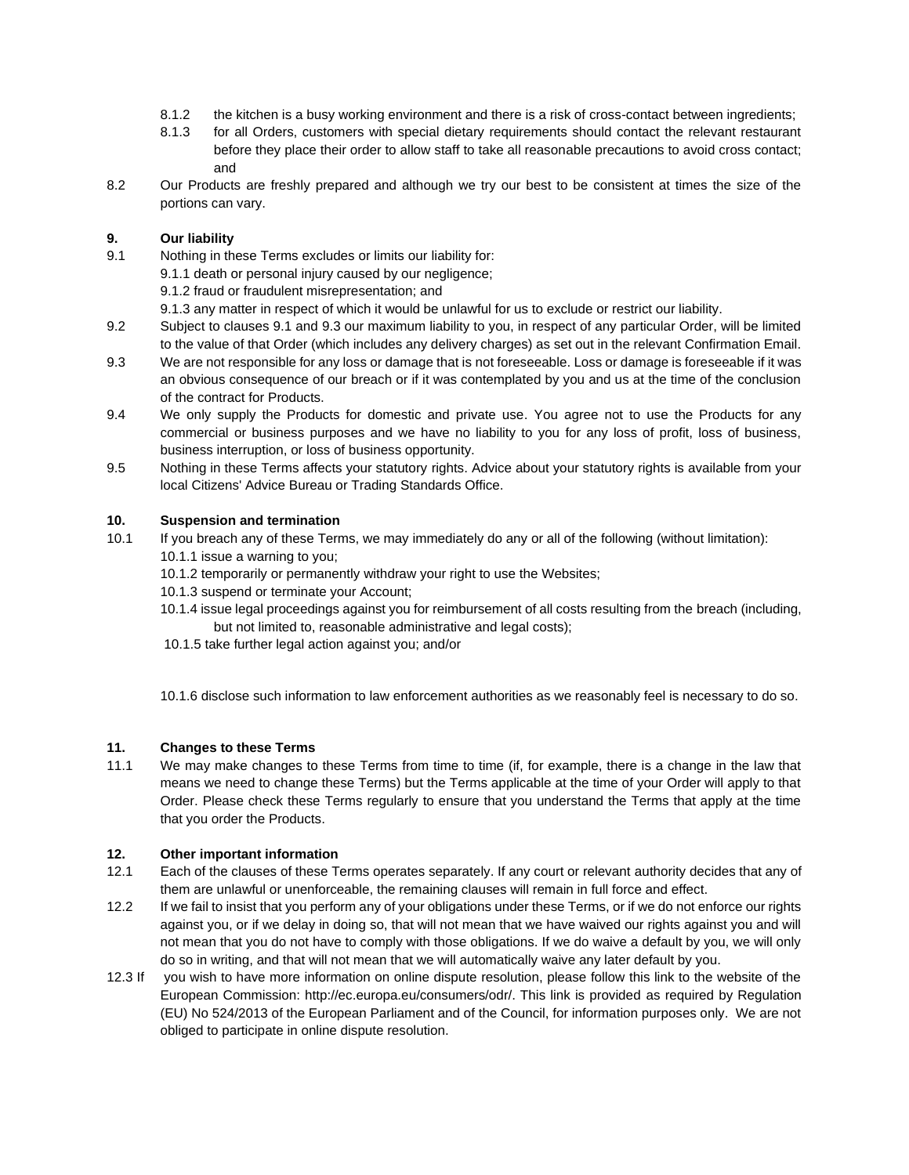- 8.1.2 the kitchen is a busy working environment and there is a risk of cross-contact between ingredients;
- 8.1.3 for all Orders, customers with special dietary requirements should contact the relevant restaurant before they place their order to allow staff to take all reasonable precautions to avoid cross contact; and
- 8.2 Our Products are freshly prepared and although we try our best to be consistent at times the size of the portions can vary.

# **9. Our liability**

- 9.1 Nothing in these Terms excludes or limits our liability for:
	- 9.1.1 death or personal injury caused by our negligence;

9.1.2 fraud or fraudulent misrepresentation; and

- 9.1.3 any matter in respect of which it would be unlawful for us to exclude or restrict our liability.
- 9.2 Subject to clauses 9.1 and 9.3 our maximum liability to you, in respect of any particular Order, will be limited to the value of that Order (which includes any delivery charges) as set out in the relevant Confirmation Email.
- 9.3 We are not responsible for any loss or damage that is not foreseeable. Loss or damage is foreseeable if it was an obvious consequence of our breach or if it was contemplated by you and us at the time of the conclusion of the contract for Products.
- 9.4 We only supply the Products for domestic and private use. You agree not to use the Products for any commercial or business purposes and we have no liability to you for any loss of profit, loss of business, business interruption, or loss of business opportunity.
- 9.5 Nothing in these Terms affects your statutory rights. Advice about your statutory rights is available from your local Citizens' Advice Bureau or Trading Standards Office.

## **10. Suspension and termination**

- 10.1 If you breach any of these Terms, we may immediately do any or all of the following (without limitation): 10.1.1 issue a warning to you;
	- 10.1.2 temporarily or permanently withdraw your right to use the Websites;
	- 10.1.3 suspend or terminate your Account;
	- 10.1.4 issue legal proceedings against you for reimbursement of all costs resulting from the breach (including, but not limited to, reasonable administrative and legal costs);
	- 10.1.5 take further legal action against you; and/or

10.1.6 disclose such information to law enforcement authorities as we reasonably feel is necessary to do so.

## **11. Changes to these Terms**

11.1 We may make changes to these Terms from time to time (if, for example, there is a change in the law that means we need to change these Terms) but the Terms applicable at the time of your Order will apply to that Order. Please check these Terms regularly to ensure that you understand the Terms that apply at the time that you order the Products.

## **12. Other important information**

- 12.1 Each of the clauses of these Terms operates separately. If any court or relevant authority decides that any of them are unlawful or unenforceable, the remaining clauses will remain in full force and effect.
- 12.2 If we fail to insist that you perform any of your obligations under these Terms, or if we do not enforce our rights against you, or if we delay in doing so, that will not mean that we have waived our rights against you and will not mean that you do not have to comply with those obligations. If we do waive a default by you, we will only do so in writing, and that will not mean that we will automatically waive any later default by you.
- 12.3 If you wish to have more information on online dispute resolution, please follow this link to the website of the European Commission: http://ec.europa.eu/consumers/odr/. This link is provided as required by Regulation (EU) No 524/2013 of the European Parliament and of the Council, for information purposes only. We are not obliged to participate in online dispute resolution.